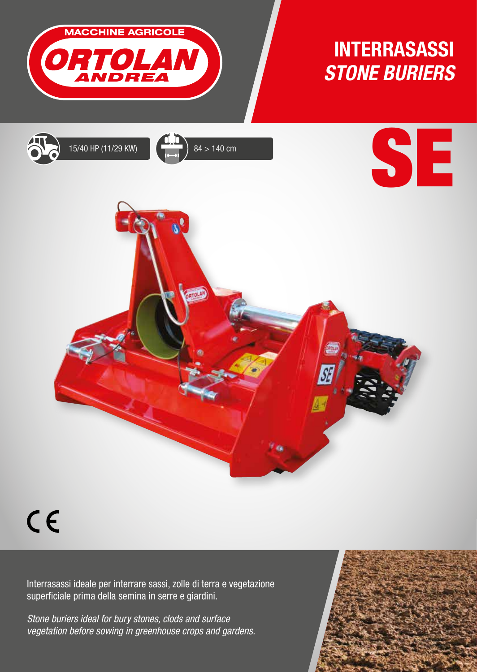

## INTERRASASSI *STONE BURIERS*









## $C<sub>6</sub>$

Interrasassi ideale per interrare sassi, zolle di terra e vegetazione superficiale prima della semina in serre e giardini.

*Stone buriers ideal for bury stones, clods and surface vegetation before sowing in greenhouse crops and gardens.*